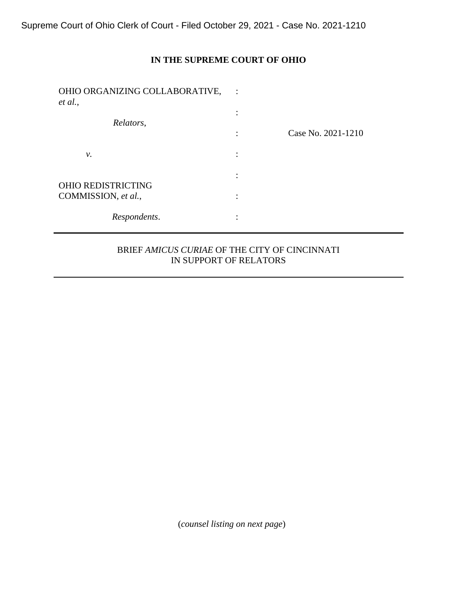Supreme Court of Ohio Clerk of Court - Filed October 29, 2021 - Case No. 2021-1210

## **IN THE SUPREME COURT OF OHIO**

| OHIO ORGANIZING COLLABORATIVE,<br>et al., | $\ddot{\cdot}$                |                    |
|-------------------------------------------|-------------------------------|--------------------|
| Relators,                                 | ٠<br>$\cdot$                  |                    |
|                                           | $\ddot{\phantom{a}}$          | Case No. 2021-1210 |
| ν.                                        | $\bullet$<br>$\cdot$          |                    |
| <b>OHIO REDISTRICTING</b>                 | ٠<br>$\overline{\phantom{a}}$ |                    |
| COMMISSION, et al.,                       | ٠<br>$\overline{a}$           |                    |
| Respondents.                              | ٠<br>٠                        |                    |

## BRIEF *AMICUS CURIAE* OF THE CITY OF CINCINNATI IN SUPPORT OF RELATORS

(*counsel listing on next page*)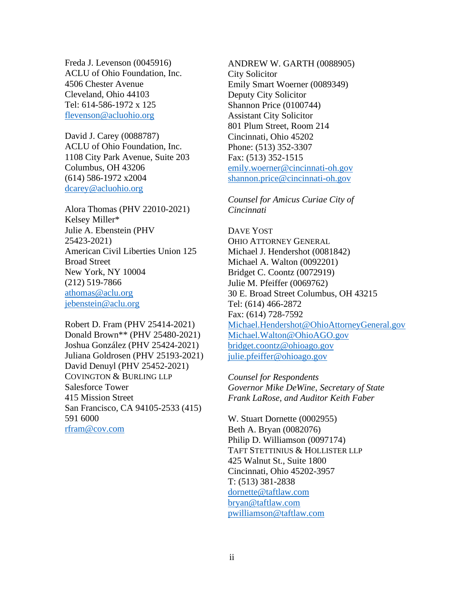Freda J. Levenson (0045916) ACLU of Ohio Foundation, Inc. 4506 Chester Avenue Cleveland, Ohio 44103 Tel: 614-586-1972 x 125 [flevenson@acluohio.org](mailto:flevenson@acluohio.org)

David J. Carey (0088787) ACLU of Ohio Foundation, Inc. 1108 City Park Avenue, Suite 203 Columbus, OH 43206 (614) 586-1972 x2004 [dcarey@acluohio.org](mailto:dcarey@acluohio.org)

Alora Thomas (PHV 22010-2021) Kelsey Miller\* Julie A. Ebenstein (PHV 25423-2021) American Civil Liberties Union 125 Broad Street New York, NY 10004 (212) 519-7866 [athomas@aclu.org](mailto:athomas@aclu.org) [jebenstein@aclu.org](mailto:jebenstein@aclu.org)

Robert D. Fram (PHV 25414-2021) Donald Brown\*\* (PHV 25480-2021) Joshua González (PHV 25424-2021) Juliana Goldrosen (PHV 25193-2021) David Denuyl (PHV 25452-2021) COVINGTON & BURLING LLP Salesforce Tower 415 Mission Street San Francisco, CA 94105-2533 (415) 591 6000 [rfram@cov.com](mailto:rfram@cov.com)

ANDREW W. GARTH (0088905) City Solicitor Emily Smart Woerner (0089349) Deputy City Solicitor Shannon Price (0100744) Assistant City Solicitor 801 Plum Street, Room 214 Cincinnati, Ohio 45202 Phone: (513) 352-3307 Fax: (513) 352-1515 [emily.woerner@cincinnati-oh.gov](mailto:emily.woerner@cincinnati-oh.gov) [shannon.price@cincinnati-oh.gov](mailto:shannon.price@cincinnati-oh.gov)

*Counsel for Amicus Curiae City of Cincinnati*

DAVE YOST OHIO ATTORNEY GENERAL Michael J. Hendershot (0081842) Michael A. Walton (0092201) Bridget C. Coontz (0072919) Julie M. Pfeiffer (0069762) 30 E. Broad Street Columbus, OH 43215 Tel: (614) 466-2872 Fax: (614) 728-7592 [Michael.Hendershot@OhioAttorneyGeneral.gov](mailto:Michael.Hendershot@OhioAttorneyGeneral.gov) [Michael.Walton@OhioAGO.gov](mailto:Michael.Walton@OhioAGO.gov) [bridget.coontz@ohioago.gov](mailto:bridget.coontz@ohioago.gov) [julie.pfeiffer@ohioago.gov](mailto:julie.pfeiffer@ohioago.gov)

*Counsel for Respondents Governor Mike DeWine, Secretary of State Frank LaRose, and Auditor Keith Faber*

W. Stuart Dornette (0002955) Beth A. Bryan (0082076) Philip D. Williamson (0097174) TAFT STETTINIUS & HOLLISTER LLP 425 Walnut St., Suite 1800 Cincinnati, Ohio 45202-3957 T: (513) 381-2838 [dornette@taftlaw.com](mailto:dornette@taftlaw.com) [bryan@taftlaw.com](mailto:bryan@taftlaw.com) [pwilliamson@taftlaw.com](mailto:pwilliamson@taftlaw.com)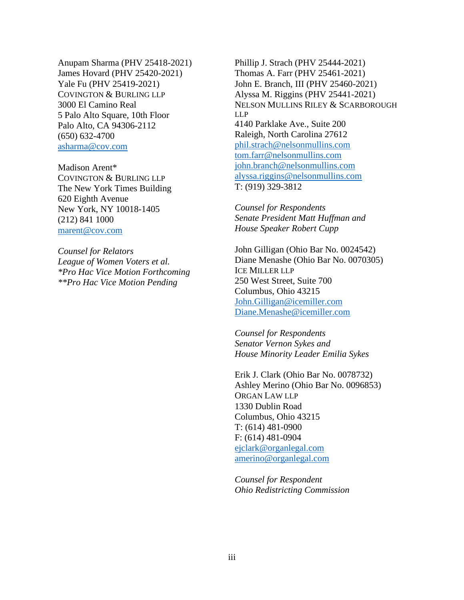Anupam Sharma (PHV 25418-2021) James Hovard (PHV 25420-2021) Yale Fu (PHV 25419-2021) COVINGTON & BURLING LLP 3000 El Camino Real 5 Palo Alto Square, 10th Floor Palo Alto, CA 94306-2112 (650) 632-4700 [asharma@cov.com](mailto:asharma@cov.com)

Madison Arent\* COVINGTON & BURLING LLP The New York Times Building 620 Eighth Avenue New York, NY 10018-1405 (212) 841 1000 [marent@cov.com](mailto:marent@cov.com)

*Counsel for Relators League of Women Voters et al. \*Pro Hac Vice Motion Forthcoming \*\*Pro Hac Vice Motion Pending*

Phillip J. Strach (PHV 25444-2021) Thomas A. Farr (PHV 25461-2021) John E. Branch, III (PHV 25460-2021) Alyssa M. Riggins (PHV 25441-2021) NELSON MULLINS RILEY & SCARBOROUGH LLP 4140 Parklake Ave., Suite 200 Raleigh, North Carolina 27612 [phil.strach@nelsonmullins.com](mailto:phil.strach@nelsonmullins.com) [tom.farr@nelsonmullins.com](mailto:tom.farr@nelsonmullins.com) [john.branch@nelsonmullins.com](mailto:john.branch@nelsonmullins.com) [alyssa.riggins@nelsonmullins.com](mailto:alyssa.riggins@nelsonmullins.com) T: (919) 329-3812

*Counsel for Respondents Senate President Matt Huffman and House Speaker Robert Cupp*

John Gilligan (Ohio Bar No. 0024542) Diane Menashe (Ohio Bar No. 0070305) ICE MILLER LLP 250 West Street, Suite 700 Columbus, Ohio 43215 [John.Gilligan@icemiller.com](mailto:John.Gilligan@icemiller.com) [Diane.Menashe@icemiller.com](mailto:Diane.Menashe@icemiller.com)

*Counsel for Respondents Senator Vernon Sykes and House Minority Leader Emilia Sykes*

Erik J. Clark (Ohio Bar No. 0078732) Ashley Merino (Ohio Bar No. 0096853) ORGAN LAW LLP 1330 Dublin Road Columbus, Ohio 43215 T: (614) 481-0900 F: (614) 481-0904 [ejclark@organlegal.com](mailto:ejclark@organlegal.com) [amerino@organlegal.com](mailto:amerino@organlegal.com)

*Counsel for Respondent Ohio Redistricting Commission*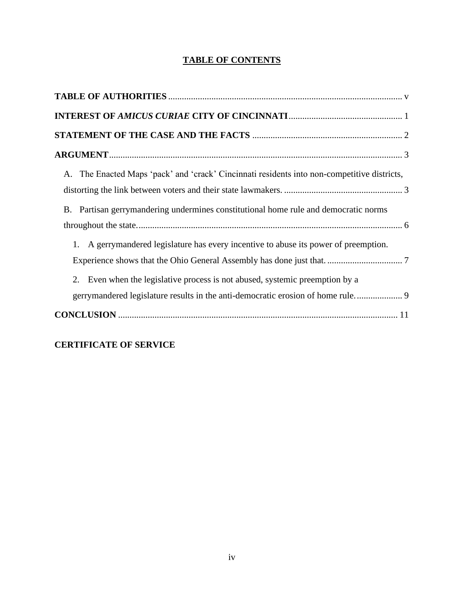# **TABLE OF CONTENTS**

| A. The Enacted Maps 'pack' and 'crack' Cincinnati residents into non-competitive districts,<br>B. Partisan gerrymandering undermines constitutional home rule and democratic norms                                                                         |
|------------------------------------------------------------------------------------------------------------------------------------------------------------------------------------------------------------------------------------------------------------|
|                                                                                                                                                                                                                                                            |
| 1. A gerrymandered legislature has every incentive to abuse its power of preemption.<br>Even when the legislative process is not abused, systemic preemption by a<br>2.<br>gerrymandered legislature results in the anti-democratic erosion of home rule 9 |
|                                                                                                                                                                                                                                                            |

# **CERTIFICATE OF SERVICE**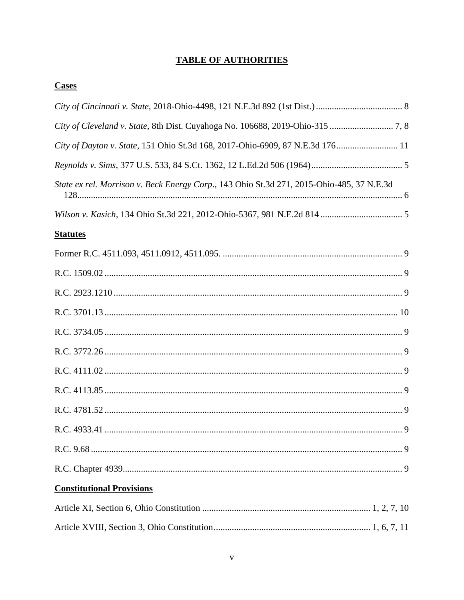# **TABLE OF AUTHORITIES**

## <span id="page-4-0"></span>**Cases**

| City of Dayton v. State, 151 Ohio St.3d 168, 2017-Ohio-6909, 87 N.E.3d 176 11             |
|-------------------------------------------------------------------------------------------|
|                                                                                           |
| State ex rel. Morrison v. Beck Energy Corp., 143 Ohio St.3d 271, 2015-Ohio-485, 37 N.E.3d |
|                                                                                           |
| <b>Statutes</b>                                                                           |
|                                                                                           |
|                                                                                           |
|                                                                                           |
|                                                                                           |
|                                                                                           |
|                                                                                           |
|                                                                                           |
|                                                                                           |
|                                                                                           |
|                                                                                           |
|                                                                                           |
|                                                                                           |
| <b>Constitutional Provisions</b>                                                          |
|                                                                                           |
|                                                                                           |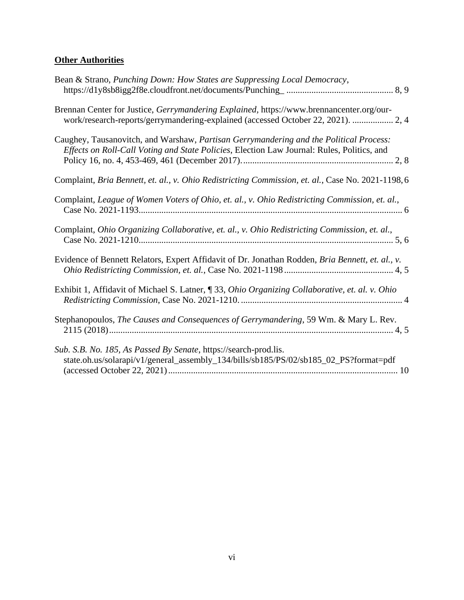# **Other Authorities**

| Bean & Strano, Punching Down: How States are Suppressing Local Democracy,                                                                                                            |
|--------------------------------------------------------------------------------------------------------------------------------------------------------------------------------------|
| Brennan Center for Justice, Gerrymandering Explained, https://www.brennancenter.org/our-<br>work/research-reports/gerrymandering-explained (accessed October 22, 2021).  2, 4        |
| Caughey, Tausanovitch, and Warshaw, Partisan Gerrymandering and the Political Process:<br>Effects on Roll-Call Voting and State Policies, Election Law Journal: Rules, Politics, and |
| Complaint, Bria Bennett, et. al., v. Ohio Redistricting Commission, et. al., Case No. 2021-1198,6                                                                                    |
| Complaint, League of Women Voters of Ohio, et. al., v. Ohio Redistricting Commission, et. al.,                                                                                       |
| Complaint, Ohio Organizing Collaborative, et. al., v. Ohio Redistricting Commission, et. al.,                                                                                        |
| Evidence of Bennett Relators, Expert Affidavit of Dr. Jonathan Rodden, Bria Bennett, et. al., v.                                                                                     |
| Exhibit 1, Affidavit of Michael S. Latner, ¶ 33, Ohio Organizing Collaborative, et. al. v. Ohio                                                                                      |
| Stephanopoulos, The Causes and Consequences of Gerrymandering, 59 Wm. & Mary L. Rev.                                                                                                 |
| Sub. S.B. No. 185, As Passed By Senate, https://search-prod.lis.<br>state.oh.us/solarapi/v1/general_assembly_134/bills/sb185/PS/02/sb185_02_PS?format=pdf                            |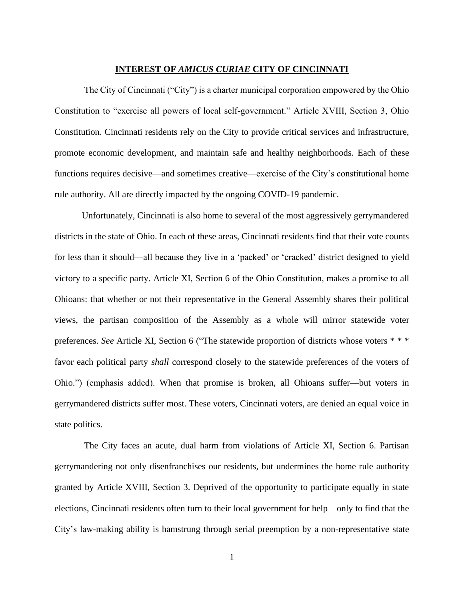### **INTEREST OF** *AMICUS CURIAE* **CITY OF CINCINNATI**

<span id="page-6-0"></span>The City of Cincinnati ("City") is a charter municipal corporation empowered by the Ohio Constitution to "exercise all powers of local self-government." Article XVIII, Section 3, Ohio Constitution. Cincinnati residents rely on the City to provide critical services and infrastructure, promote economic development, and maintain safe and healthy neighborhoods. Each of these functions requires decisive—and sometimes creative—exercise of the City's constitutional home rule authority. All are directly impacted by the ongoing COVID-19 pandemic.

Unfortunately, Cincinnati is also home to several of the most aggressively gerrymandered districts in the state of Ohio. In each of these areas, Cincinnati residents find that their vote counts for less than it should—all because they live in a 'packed' or 'cracked' district designed to yield victory to a specific party. Article XI, Section 6 of the Ohio Constitution, makes a promise to all Ohioans: that whether or not their representative in the General Assembly shares their political views, the partisan composition of the Assembly as a whole will mirror statewide voter preferences. *See* Article XI, Section 6 ("The statewide proportion of districts whose voters \* \* \* favor each political party *shall* correspond closely to the statewide preferences of the voters of Ohio.") (emphasis added). When that promise is broken, all Ohioans suffer—but voters in gerrymandered districts suffer most. These voters, Cincinnati voters, are denied an equal voice in state politics.

The City faces an acute, dual harm from violations of Article XI, Section 6. Partisan gerrymandering not only disenfranchises our residents, but undermines the home rule authority granted by Article XVIII, Section 3. Deprived of the opportunity to participate equally in state elections, Cincinnati residents often turn to their local government for help—only to find that the City's law-making ability is hamstrung through serial preemption by a non-representative state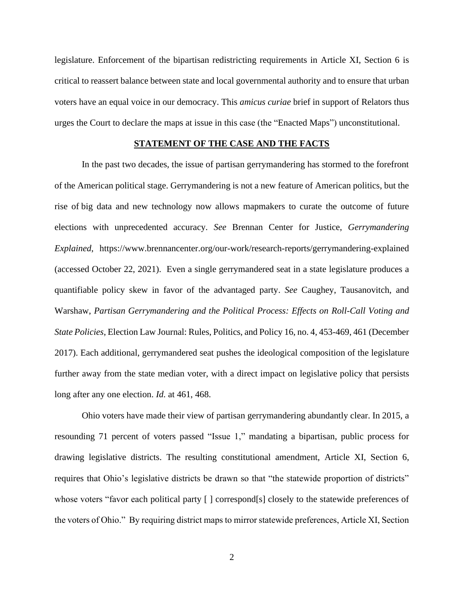legislature. Enforcement of the bipartisan redistricting requirements in Article XI, Section 6 is critical to reassert balance between state and local governmental authority and to ensure that urban voters have an equal voice in our democracy. This *amicus curiae* brief in support of Relators thus urges the Court to declare the maps at issue in this case (the "Enacted Maps") unconstitutional.

### **STATEMENT OF THE CASE AND THE FACTS**

<span id="page-7-0"></span>In the past two decades, the issue of partisan gerrymandering has stormed to the forefront of the American political stage. Gerrymandering is not a new feature of American politics, but the rise of big data and new technology now allows mapmakers to curate the outcome of future elections with unprecedented accuracy. *See* Brennan Center for Justice, *Gerrymandering Explained*, https://www.brennancenter.org/our-work/research-reports/gerrymandering-explained (accessed October 22, 2021). Even a single gerrymandered seat in a state legislature produces a quantifiable policy skew in favor of the advantaged party. *See* Caughey, Tausanovitch, and Warshaw, *Partisan Gerrymandering and the Political Process: Effects on Roll-Call Voting and State Policies*, Election Law Journal: Rules, Politics, and Policy 16, no. 4, 453-469, 461 (December 2017). Each additional, gerrymandered seat pushes the ideological composition of the legislature further away from the state median voter, with a direct impact on legislative policy that persists long after any one election. *Id.* at 461, 468.

Ohio voters have made their view of partisan gerrymandering abundantly clear. In 2015, a resounding 71 percent of voters passed "Issue 1," mandating a bipartisan, public process for drawing legislative districts. The resulting constitutional amendment, Article XI, Section 6, requires that Ohio's legislative districts be drawn so that "the statewide proportion of districts" whose voters "favor each political party [ ] correspond[s] closely to the statewide preferences of the voters of Ohio." By requiring district maps to mirror statewide preferences, Article XI, Section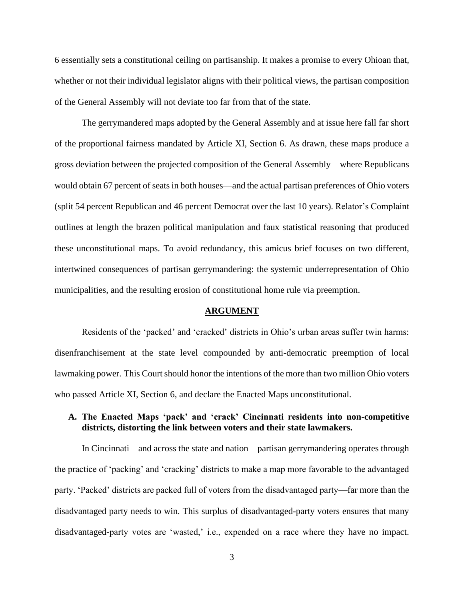6 essentially sets a constitutional ceiling on partisanship. It makes a promise to every Ohioan that, whether or not their individual legislator aligns with their political views, the partisan composition of the General Assembly will not deviate too far from that of the state.

The gerrymandered maps adopted by the General Assembly and at issue here fall far short of the proportional fairness mandated by Article XI, Section 6. As drawn, these maps produce a gross deviation between the projected composition of the General Assembly—where Republicans would obtain 67 percent of seats in both houses—and the actual partisan preferences of Ohio voters (split 54 percent Republican and 46 percent Democrat over the last 10 years). Relator's Complaint outlines at length the brazen political manipulation and faux statistical reasoning that produced these unconstitutional maps. To avoid redundancy, this amicus brief focuses on two different, intertwined consequences of partisan gerrymandering: the systemic underrepresentation of Ohio municipalities, and the resulting erosion of constitutional home rule via preemption.

#### **ARGUMENT**

<span id="page-8-0"></span>Residents of the 'packed' and 'cracked' districts in Ohio's urban areas suffer twin harms: disenfranchisement at the state level compounded by anti-democratic preemption of local lawmaking power. This Court should honor the intentions of the more than two million Ohio voters who passed Article XI, Section 6, and declare the Enacted Maps unconstitutional.

## <span id="page-8-1"></span>**A. The Enacted Maps 'pack' and 'crack' Cincinnati residents into non-competitive districts, distorting the link between voters and their state lawmakers.**

In Cincinnati—and across the state and nation—partisan gerrymandering operates through the practice of 'packing' and 'cracking' districts to make a map more favorable to the advantaged party. 'Packed' districts are packed full of voters from the disadvantaged party—far more than the disadvantaged party needs to win. This surplus of disadvantaged-party voters ensures that many disadvantaged-party votes are 'wasted,' i.e., expended on a race where they have no impact.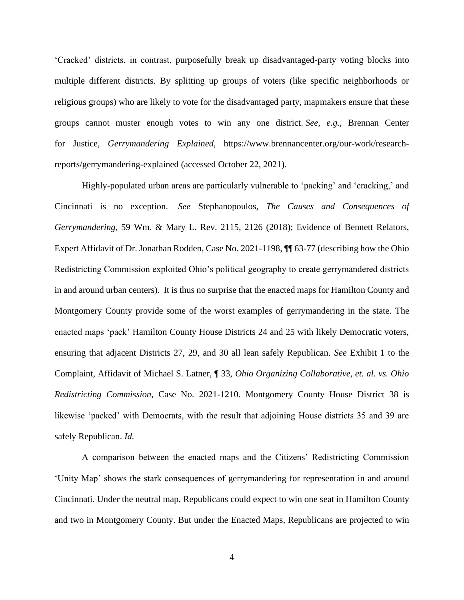'Cracked' districts, in contrast, purposefully break up disadvantaged-party voting blocks into multiple different districts. By splitting up groups of voters (like specific neighborhoods or religious groups) who are likely to vote for the disadvantaged party, mapmakers ensure that these groups cannot muster enough votes to win any one district. *See*, *e.g.*, Brennan Center for Justice, *Gerrymandering Explained*, https://www.brennancenter.org/our-work/researchreports/gerrymandering-explained (accessed October 22, 2021).

Highly-populated urban areas are particularly vulnerable to 'packing' and 'cracking,' and Cincinnati is no exception. *See* Stephanopoulos, *The Causes and Consequences of Gerrymandering*, 59 Wm. & Mary L. Rev. 2115, 2126 (2018); Evidence of Bennett Relators, Expert Affidavit of Dr. Jonathan Rodden, Case No. 2021-1198, ¶¶ 63-77 (describing how the Ohio Redistricting Commission exploited Ohio's political geography to create gerrymandered districts in and around urban centers). It is thus no surprise that the enacted maps for Hamilton County and Montgomery County provide some of the worst examples of gerrymandering in the state. The enacted maps 'pack' Hamilton County House Districts 24 and 25 with likely Democratic voters, ensuring that adjacent Districts 27, 29, and 30 all lean safely Republican. *See* Exhibit 1 to the Complaint, Affidavit of Michael S. Latner, ¶ 33, *Ohio Organizing Collaborative, et. al. vs. Ohio Redistricting Commission*, Case No. 2021-1210. Montgomery County House District 38 is likewise 'packed' with Democrats, with the result that adjoining House districts 35 and 39 are safely Republican. *Id.* 

A comparison between the enacted maps and the Citizens' Redistricting Commission 'Unity Map' shows the stark consequences of gerrymandering for representation in and around Cincinnati. Under the neutral map, Republicans could expect to win one seat in Hamilton County and two in Montgomery County. But under the Enacted Maps, Republicans are projected to win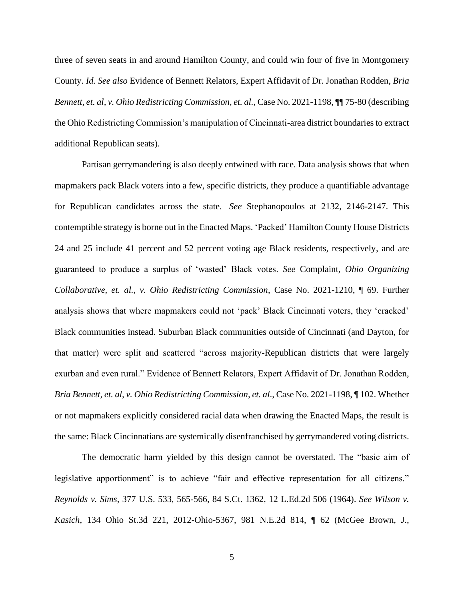three of seven seats in and around Hamilton County, and could win four of five in Montgomery County. *Id. See also* Evidence of Bennett Relators, Expert Affidavit of Dr. Jonathan Rodden, *Bria Bennett, et. al, v. Ohio Redistricting Commission, et. al.*, Case No. 2021-1198, ¶¶ 75-80 (describing the Ohio Redistricting Commission's manipulation of Cincinnati-area district boundaries to extract additional Republican seats).

Partisan gerrymandering is also deeply entwined with race. Data analysis shows that when mapmakers pack Black voters into a few, specific districts, they produce a quantifiable advantage for Republican candidates across the state. *See* Stephanopoulos at 2132, 2146-2147. This contemptible strategy is borne out in the Enacted Maps. 'Packed' Hamilton County House Districts 24 and 25 include 41 percent and 52 percent voting age Black residents, respectively, and are guaranteed to produce a surplus of 'wasted' Black votes. *See* Complaint, *Ohio Organizing Collaborative, et. al., v. Ohio Redistricting Commission*, Case No. 2021-1210, ¶ 69. Further analysis shows that where mapmakers could not 'pack' Black Cincinnati voters, they 'cracked' Black communities instead. Suburban Black communities outside of Cincinnati (and Dayton, for that matter) were split and scattered "across majority-Republican districts that were largely exurban and even rural." Evidence of Bennett Relators, Expert Affidavit of Dr. Jonathan Rodden, *Bria Bennett, et. al, v. Ohio Redistricting Commission, et. al*., Case No. 2021-1198, ¶ 102. Whether or not mapmakers explicitly considered racial data when drawing the Enacted Maps, the result is the same: Black Cincinnatians are systemically disenfranchised by gerrymandered voting districts.

The democratic harm yielded by this design cannot be overstated. The "basic aim of legislative apportionment" is to achieve "fair and effective representation for all citizens." *Reynolds v. Sims*, 377 U.S. 533, 565-566, 84 S.Ct. 1362, 12 L.Ed.2d 506 (1964). *See Wilson v. Kasich*, 134 Ohio St.3d 221, 2012-Ohio-5367, 981 N.E.2d 814, ¶ 62 (McGee Brown, J.,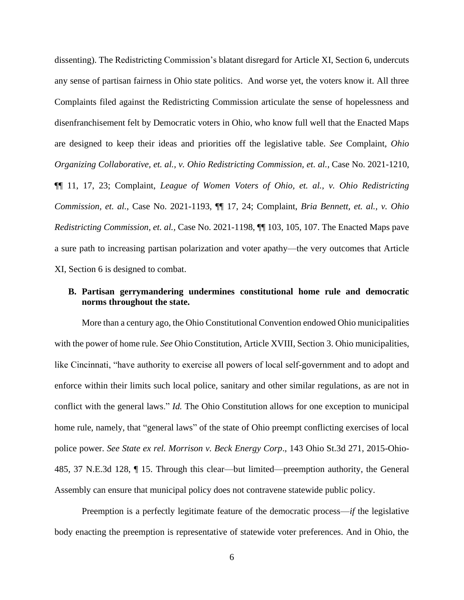dissenting). The Redistricting Commission's blatant disregard for Article XI, Section 6, undercuts any sense of partisan fairness in Ohio state politics. And worse yet, the voters know it. All three Complaints filed against the Redistricting Commission articulate the sense of hopelessness and disenfranchisement felt by Democratic voters in Ohio, who know full well that the Enacted Maps are designed to keep their ideas and priorities off the legislative table. *See* Complaint, *Ohio Organizing Collaborative, et. al., v. Ohio Redistricting Commission, et. al.,* Case No. 2021-1210, ¶¶ 11, 17, 23; Complaint, *League of Women Voters of Ohio, et. al., v. Ohio Redistricting Commission, et. al.,* Case No. 2021-1193, ¶¶ 17, 24; Complaint, *Bria Bennett, et. al., v. Ohio Redistricting Commission, et. al.,* Case No. 2021-1198, ¶¶ 103, 105, 107. The Enacted Maps pave a sure path to increasing partisan polarization and voter apathy—the very outcomes that Article XI, Section 6 is designed to combat.

### <span id="page-11-0"></span>**B. Partisan gerrymandering undermines constitutional home rule and democratic norms throughout the state.**

More than a century ago, the Ohio Constitutional Convention endowed Ohio municipalities with the power of home rule. *See* Ohio Constitution, Article XVIII, Section 3. Ohio municipalities, like Cincinnati, "have authority to exercise all powers of local self-government and to adopt and enforce within their limits such local police, sanitary and other similar regulations, as are not in conflict with the general laws." *Id.* The Ohio Constitution allows for one exception to municipal home rule, namely, that "general laws" of the state of Ohio preempt conflicting exercises of local police power. *See State ex rel. Morrison v. Beck Energy Corp*., 143 Ohio St.3d 271, 2015-Ohio-485, 37 N.E.3d 128, ¶ 15. Through this clear—but limited—preemption authority, the General Assembly can ensure that municipal policy does not contravene statewide public policy.

Preemption is a perfectly legitimate feature of the democratic process—*if* the legislative body enacting the preemption is representative of statewide voter preferences. And in Ohio, the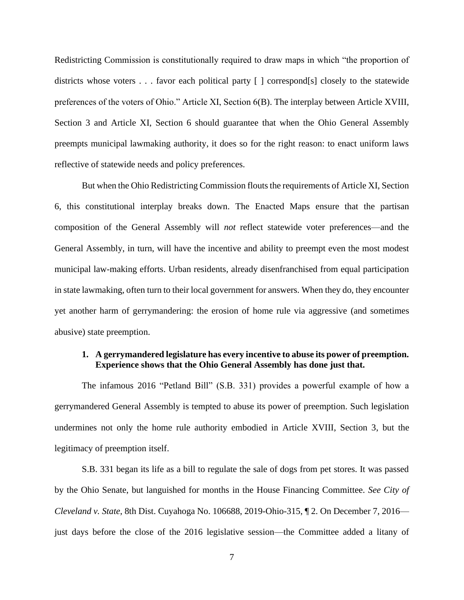Redistricting Commission is constitutionally required to draw maps in which "the proportion of districts whose voters . . . favor each political party [ ] correspond[s] closely to the statewide preferences of the voters of Ohio." Article XI, Section 6(B). The interplay between Article XVIII, Section 3 and Article XI, Section 6 should guarantee that when the Ohio General Assembly preempts municipal lawmaking authority, it does so for the right reason: to enact uniform laws reflective of statewide needs and policy preferences.

But when the Ohio Redistricting Commission flouts the requirements of Article XI, Section 6, this constitutional interplay breaks down. The Enacted Maps ensure that the partisan composition of the General Assembly will *not* reflect statewide voter preferences—and the General Assembly, in turn, will have the incentive and ability to preempt even the most modest municipal law-making efforts. Urban residents, already disenfranchised from equal participation in state lawmaking, often turn to their local government for answers. When they do, they encounter yet another harm of gerrymandering: the erosion of home rule via aggressive (and sometimes abusive) state preemption.

### <span id="page-12-0"></span>**1. A gerrymandered legislature has every incentive to abuse its power of preemption. Experience shows that the Ohio General Assembly has done just that.**

The infamous 2016 "Petland Bill" (S.B. 331) provides a powerful example of how a gerrymandered General Assembly is tempted to abuse its power of preemption. Such legislation undermines not only the home rule authority embodied in Article XVIII, Section 3, but the legitimacy of preemption itself.

S.B. 331 began its life as a bill to regulate the sale of dogs from pet stores. It was passed by the Ohio Senate, but languished for months in the House Financing Committee. *See City of Cleveland v. State*, 8th Dist. Cuyahoga No. 106688, 2019-Ohio-315, ¶ 2. On December 7, 2016 just days before the close of the 2016 legislative session—the Committee added a litany of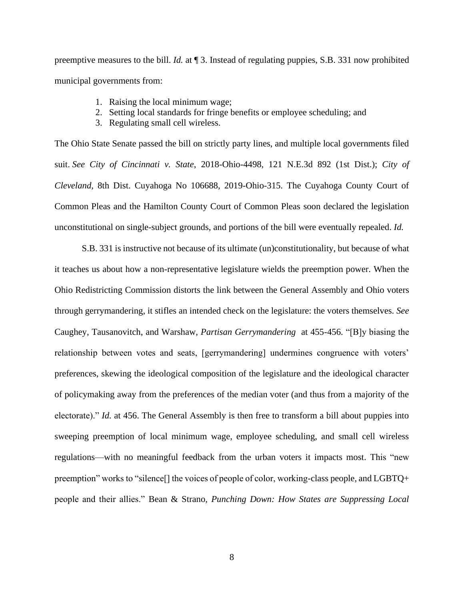preemptive measures to the bill. *Id.* at ¶ 3. Instead of regulating puppies, S.B. 331 now prohibited municipal governments from:

- 1. Raising the local minimum wage;
- 2. Setting local standards for fringe benefits or employee scheduling; and
- 3. Regulating small cell wireless.

The Ohio State Senate passed the bill on strictly party lines, and multiple local governments filed suit. *See City of Cincinnati v. State*, 2018-Ohio-4498, 121 N.E.3d 892 (1st Dist.); *City of Cleveland*, 8th Dist. Cuyahoga No 106688, 2019-Ohio-315. The Cuyahoga County Court of Common Pleas and the Hamilton County Court of Common Pleas soon declared the legislation unconstitutional on single-subject grounds, and portions of the bill were eventually repealed. *Id.*

S.B. 331 is instructive not because of its ultimate (un)constitutionality, but because of what it teaches us about how a non-representative legislature wields the preemption power. When the Ohio Redistricting Commission distorts the link between the General Assembly and Ohio voters through gerrymandering, it stifles an intended check on the legislature: the voters themselves. *See*  Caughey, Tausanovitch, and Warshaw, *Partisan Gerrymandering* at 455-456. "[B]y biasing the relationship between votes and seats, [gerrymandering] undermines congruence with voters' preferences, skewing the ideological composition of the legislature and the ideological character of policymaking away from the preferences of the median voter (and thus from a majority of the electorate)." *Id.* at 456. The General Assembly is then free to transform a bill about puppies into sweeping preemption of local minimum wage, employee scheduling, and small cell wireless regulations—with no meaningful feedback from the urban voters it impacts most. This "new preemption" works to "silence[] the voices of people of color, working-class people, and LGBTQ+ people and their allies." Bean & Strano, *Punching Down: How States are Suppressing Local*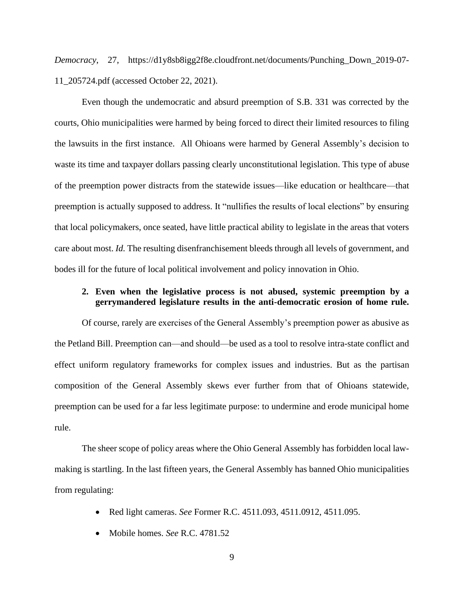*Democracy*, 27, https://d1y8sb8igg2f8e.cloudfront.net/documents/Punching\_Down\_2019-07- 11\_205724.pdf (accessed October 22, 2021).

Even though the undemocratic and absurd preemption of S.B. 331 was corrected by the courts, Ohio municipalities were harmed by being forced to direct their limited resources to filing the lawsuits in the first instance. All Ohioans were harmed by General Assembly's decision to waste its time and taxpayer dollars passing clearly unconstitutional legislation. This type of abuse of the preemption power distracts from the statewide issues—like education or healthcare—that preemption is actually supposed to address. It "nullifies the results of local elections" by ensuring that local policymakers, once seated, have little practical ability to legislate in the areas that voters care about most. *Id.* The resulting disenfranchisement bleeds through all levels of government, and bodes ill for the future of local political involvement and policy innovation in Ohio.

## <span id="page-14-0"></span>**2. Even when the legislative process is not abused, systemic preemption by a gerrymandered legislature results in the anti-democratic erosion of home rule.**

Of course, rarely are exercises of the General Assembly's preemption power as abusive as the Petland Bill. Preemption can—and should—be used as a tool to resolve intra-state conflict and effect uniform regulatory frameworks for complex issues and industries. But as the partisan composition of the General Assembly skews ever further from that of Ohioans statewide, preemption can be used for a far less legitimate purpose: to undermine and erode municipal home rule.

The sheer scope of policy areas where the Ohio General Assembly has forbidden local lawmaking is startling. In the last fifteen years, the General Assembly has banned Ohio municipalities from regulating:

- Red light cameras. *See* Former R.C. 4511.093, 4511.0912, 4511.095.
- Mobile homes. *See* R.C. 4781.52
	- 9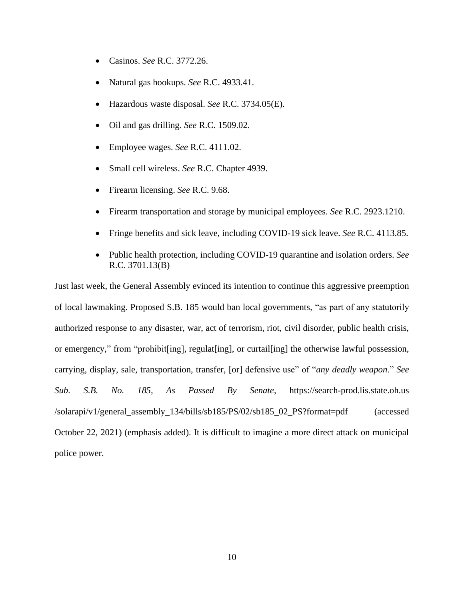- Casinos. *See* R.C. 3772.26.
- Natural gas hookups. *See* R.C. 4933.41.
- Hazardous waste disposal. *See* R.C. 3734.05(E).
- Oil and gas drilling. *See* R.C. 1509.02.
- Employee wages. *See* R.C. 4111.02.
- Small cell wireless. *See* R.C. Chapter 4939.
- Firearm licensing. *See* R.C. 9.68.
- Firearm transportation and storage by municipal employees. *See* R.C. 2923.1210.
- Fringe benefits and sick leave, including COVID-19 sick leave. *See* R.C. 4113.85.
- Public health protection, including COVID-19 quarantine and isolation orders. *See*  R.C. 3701.13(B)

Just last week, the General Assembly evinced its intention to continue this aggressive preemption of local lawmaking. Proposed S.B. 185 would ban local governments, "as part of any statutorily authorized response to any disaster, war, act of terrorism, riot, civil disorder, public health crisis, or emergency," from "prohibit[ing], regulat[ing], or curtail[ing] the otherwise lawful possession, carrying, display, sale, transportation, transfer, [or] defensive use" of "*any deadly weapon*." *See Sub. S.B. No. 185, As Passed By Senate*, https://search-prod.lis.state.oh.us /solarapi/v1/general\_assembly\_134/bills/sb185/PS/02/sb185\_02\_PS?format=pdf (accessed October 22, 2021) (emphasis added). It is difficult to imagine a more direct attack on municipal police power.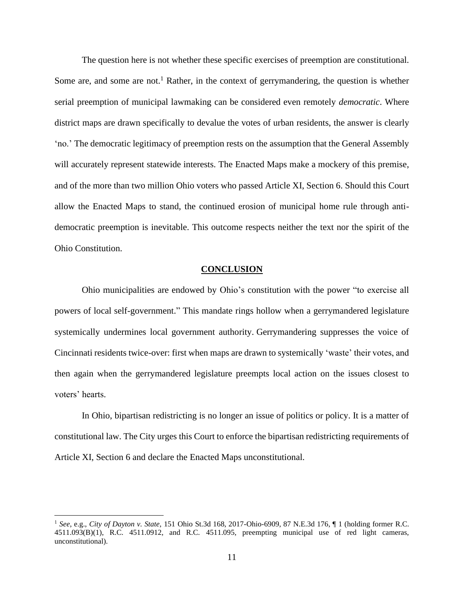The question here is not whether these specific exercises of preemption are constitutional. Some are, and some are not.<sup>1</sup> Rather, in the context of gerrymandering, the question is whether serial preemption of municipal lawmaking can be considered even remotely *democratic*. Where district maps are drawn specifically to devalue the votes of urban residents, the answer is clearly 'no.' The democratic legitimacy of preemption rests on the assumption that the General Assembly will accurately represent statewide interests. The Enacted Maps make a mockery of this premise, and of the more than two million Ohio voters who passed Article XI, Section 6. Should this Court allow the Enacted Maps to stand, the continued erosion of municipal home rule through antidemocratic preemption is inevitable. This outcome respects neither the text nor the spirit of the Ohio Constitution.

### **CONCLUSION**

<span id="page-16-0"></span>Ohio municipalities are endowed by Ohio's constitution with the power "to exercise all powers of local self-government." This mandate rings hollow when a gerrymandered legislature systemically undermines local government authority. Gerrymandering suppresses the voice of Cincinnati residents twice-over: first when maps are drawn to systemically 'waste' their votes, and then again when the gerrymandered legislature preempts local action on the issues closest to voters' hearts.

In Ohio, bipartisan redistricting is no longer an issue of politics or policy. It is a matter of constitutional law. The City urges this Court to enforce the bipartisan redistricting requirements of Article XI, Section 6 and declare the Enacted Maps unconstitutional.

<sup>1</sup> *See*, e.g., *City of Dayton v. State*, 151 Ohio St.3d 168, 2017-Ohio-6909, 87 N.E.3d 176, ¶ 1 (holding former R.C. 4511.093(B)(1), R.C. 4511.0912, and R.C. 4511.095, preempting municipal use of red light cameras, unconstitutional).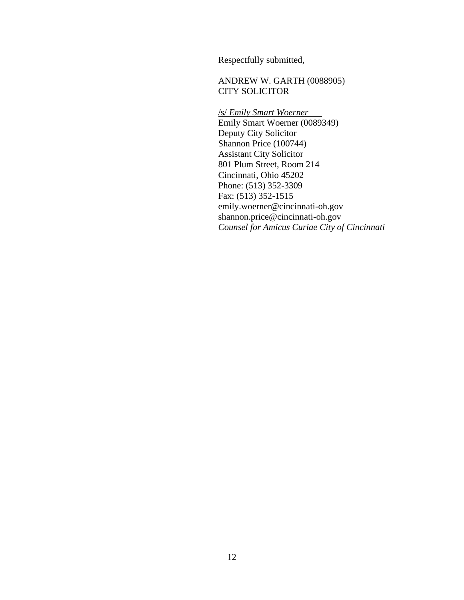Respectfully submitted,

## ANDREW W. GARTH (0088905) CITY SOLICITOR

/s/ *Emily Smart Woerner*  Emily Smart Woerner (0089349) Deputy City Solicitor Shannon Price (100744) Assistant City Solicitor 801 Plum Street, Room 214 Cincinnati, Ohio 45202 Phone: (513) 352-3309 Fax: (513) 352-1515 emily.woerner@cincinnati-oh.gov shannon.price@cincinnati-oh.gov *Counsel for Amicus Curiae City of Cincinnati*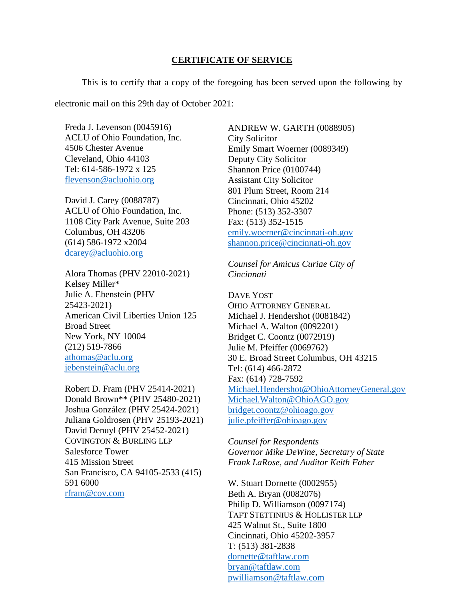### **CERTIFICATE OF SERVICE**

This is to certify that a copy of the foregoing has been served upon the following by electronic mail on this 29th day of October 2021:

Freda J. Levenson (0045916) ACLU of Ohio Foundation, Inc. 4506 Chester Avenue Cleveland, Ohio 44103 Tel: 614-586-1972 x 125 [flevenson@acluohio.org](mailto:flevenson@acluohio.org)

David J. Carey (0088787) ACLU of Ohio Foundation, Inc. 1108 City Park Avenue, Suite 203 Columbus, OH 43206 (614) 586-1972 x2004 [dcarey@acluohio.org](mailto:dcarey@acluohio.org)

Alora Thomas (PHV 22010-2021) Kelsey Miller\* Julie A. Ebenstein (PHV 25423-2021) American Civil Liberties Union 125 Broad Street New York, NY 10004 (212) 519-7866 [athomas@aclu.org](mailto:athomas@aclu.org) [jebenstein@aclu.org](mailto:jebenstein@aclu.org)

Robert D. Fram (PHV 25414-2021) Donald Brown\*\* (PHV 25480-2021) Joshua González (PHV 25424-2021) Juliana Goldrosen (PHV 25193-2021) David Denuyl (PHV 25452-2021) COVINGTON & BURLING LLP Salesforce Tower 415 Mission Street San Francisco, CA 94105-2533 (415) 591 6000 [rfram@cov.com](mailto:rfram@cov.com)

ANDREW W. GARTH (0088905) City Solicitor Emily Smart Woerner (0089349) Deputy City Solicitor Shannon Price (0100744) Assistant City Solicitor 801 Plum Street, Room 214 Cincinnati, Ohio 45202 Phone: (513) 352-3307 Fax: (513) 352-1515 [emily.woerner@cincinnati-oh.gov](mailto:emily.woerner@cincinnati-oh.gov) [shannon.price@cincinnati-oh.gov](mailto:shannon.price@cincinnati-oh.gov)

*Counsel for Amicus Curiae City of Cincinnati*

DAVE YOST OHIO ATTORNEY GENERAL Michael J. Hendershot (0081842) Michael A. Walton (0092201) Bridget C. Coontz (0072919) Julie M. Pfeiffer (0069762) 30 E. Broad Street Columbus, OH 43215 Tel: (614) 466-2872 Fax: (614) 728-7592 [Michael.Hendershot@OhioAttorneyGeneral.gov](mailto:Michael.Hendershot@OhioAttorneyGeneral.gov) [Michael.Walton@OhioAGO.gov](mailto:Michael.Walton@OhioAGO.gov) [bridget.coontz@ohioago.gov](mailto:bridget.coontz@ohioago.gov) [julie.pfeiffer@ohioago.gov](mailto:julie.pfeiffer@ohioago.gov)

*Counsel for Respondents Governor Mike DeWine, Secretary of State Frank LaRose, and Auditor Keith Faber*

[dornette@taftlaw.com](mailto:dornette@taftlaw.com) W. Stuart Dornette (0002955) Beth A. Bryan (0082076) Philip D. Williamson (0097174) TAFT STETTINIUS & HOLLISTER LLP 425 Walnut St., Suite 1800 Cincinnati, Ohio 45202-3957 T: (513) 381-2838 [bryan@taftlaw.com](mailto:bryan@taftlaw.com) [pwilliamson@taftlaw.com](mailto:pwilliamson@taftlaw.com)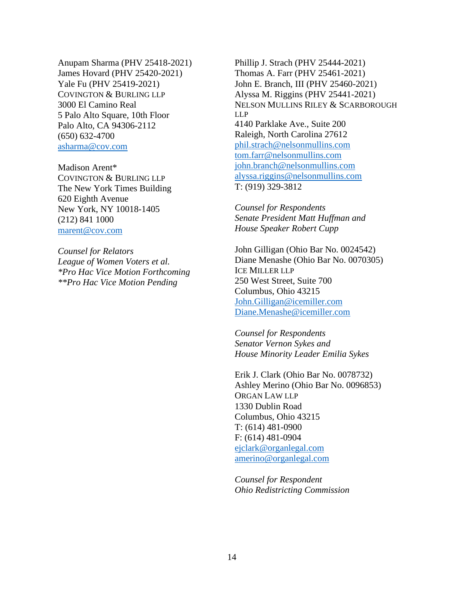Anupam Sharma (PHV 25418-2021) James Hovard (PHV 25420-2021) Yale Fu (PHV 25419-2021) COVINGTON & BURLING LLP 3000 El Camino Real 5 Palo Alto Square, 10th Floor Palo Alto, CA 94306-2112 (650) 632-4700 [asharma@cov.com](mailto:asharma@cov.com)

Madison Arent\* COVINGTON & BURLING LLP The New York Times Building 620 Eighth Avenue New York, NY 10018-1405 (212) 841 1000 [marent@cov.com](mailto:marent@cov.com)

*Counsel for Relators League of Women Voters et al. \*Pro Hac Vice Motion Forthcoming \*\*Pro Hac Vice Motion Pending*

Phillip J. Strach (PHV 25444-2021) Thomas A. Farr (PHV 25461-2021) John E. Branch, III (PHV 25460-2021) Alyssa M. Riggins (PHV 25441-2021) NELSON MULLINS RILEY & SCARBOROUGH LLP 4140 Parklake Ave., Suite 200 Raleigh, North Carolina 27612 [phil.strach@nelsonmullins.com](mailto:phil.strach@nelsonmullins.com) [tom.farr@nelsonmullins.com](mailto:tom.farr@nelsonmullins.com) [john.branch@nelsonmullins.com](mailto:john.branch@nelsonmullins.com) [alyssa.riggins@nelsonmullins.com](mailto:alyssa.riggins@nelsonmullins.com) T: (919) 329-3812

*Counsel for Respondents Senate President Matt Huffman and House Speaker Robert Cupp*

John Gilligan (Ohio Bar No. 0024542) Diane Menashe (Ohio Bar No. 0070305) ICE MILLER LLP 250 West Street, Suite 700 Columbus, Ohio 43215 [John.Gilligan@icemiller.com](mailto:John.Gilligan@icemiller.com) [Diane.Menashe@icemiller.com](mailto:Diane.Menashe@icemiller.com)

*Counsel for Respondents Senator Vernon Sykes and House Minority Leader Emilia Sykes*

Erik J. Clark (Ohio Bar No. 0078732) Ashley Merino (Ohio Bar No. 0096853) ORGAN LAW LLP 1330 Dublin Road Columbus, Ohio 43215 T: (614) 481-0900 F: (614) 481-0904 [ejclark@organlegal.com](mailto:ejclark@organlegal.com) [amerino@organlegal.com](mailto:amerino@organlegal.com)

*Counsel for Respondent Ohio Redistricting Commission*